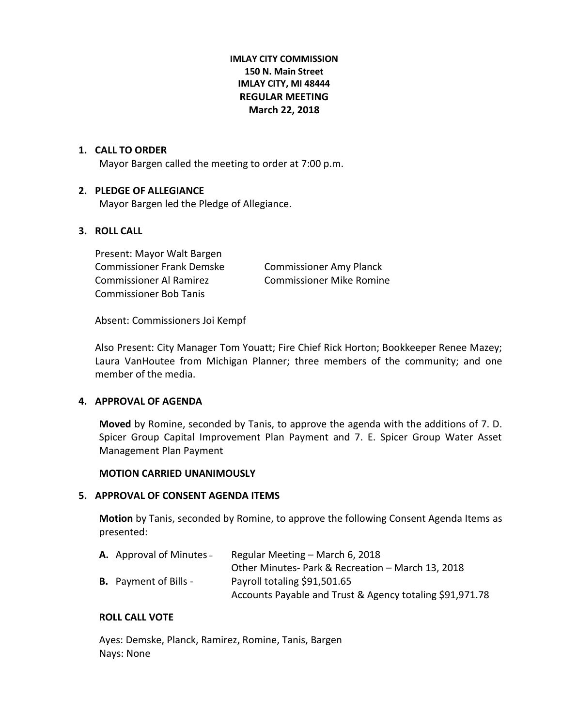# **IMLAY CITY COMMISSION 150 N. Main Street IMLAY CITY, MI 48444 REGULAR MEETING March 22, 2018**

# **1. CALL TO ORDER**

Mayor Bargen called the meeting to order at 7:00 p.m.

# **2. PLEDGE OF ALLEGIANCE**

Mayor Bargen led the Pledge of Allegiance.

# **3. ROLL CALL**

Present: Mayor Walt Bargen Commissioner Frank Demske Commissioner Amy Planck Commissioner Al Ramirez Commissioner Mike Romine Commissioner Bob Tanis

Absent: Commissioners Joi Kempf

Also Present: City Manager Tom Youatt; Fire Chief Rick Horton; Bookkeeper Renee Mazey; Laura VanHoutee from Michigan Planner; three members of the community; and one member of the media.

# **4. APPROVAL OF AGENDA**

**Moved** by Romine, seconded by Tanis, to approve the agenda with the additions of 7. D. Spicer Group Capital Improvement Plan Payment and 7. E. Spicer Group Water Asset Management Plan Payment

# **MOTION CARRIED UNANIMOUSLY**

# **5. APPROVAL OF CONSENT AGENDA ITEMS**

**Motion** by Tanis, seconded by Romine, to approve the following Consent Agenda Items as presented:

| <b>A.</b> Approval of Minutes – | Regular Meeting – March 6, 2018                          |
|---------------------------------|----------------------------------------------------------|
|                                 | Other Minutes- Park & Recreation - March 13, 2018        |
| <b>B.</b> Payment of Bills -    | Payroll totaling \$91,501.65                             |
|                                 | Accounts Payable and Trust & Agency totaling \$91,971.78 |

# **ROLL CALL VOTE**

Ayes: Demske, Planck, Ramirez, Romine, Tanis, Bargen Nays: None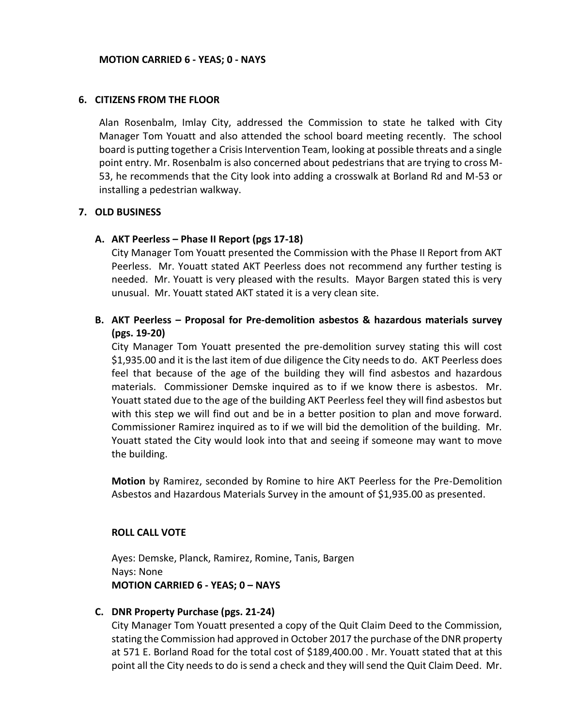#### **6. CITIZENS FROM THE FLOOR**

Alan Rosenbalm, Imlay City, addressed the Commission to state he talked with City Manager Tom Youatt and also attended the school board meeting recently. The school board is putting together a Crisis Intervention Team, looking at possible threats and a single point entry. Mr. Rosenbalm is also concerned about pedestrians that are trying to cross M-53, he recommends that the City look into adding a crosswalk at Borland Rd and M-53 or installing a pedestrian walkway.

# **7. OLD BUSINESS**

#### **A. AKT Peerless – Phase II Report (pgs 17-18)**

City Manager Tom Youatt presented the Commission with the Phase II Report from AKT Peerless. Mr. Youatt stated AKT Peerless does not recommend any further testing is needed. Mr. Youatt is very pleased with the results. Mayor Bargen stated this is very unusual. Mr. Youatt stated AKT stated it is a very clean site.

# **B. AKT Peerless – Proposal for Pre-demolition asbestos & hazardous materials survey (pgs. 19-20)**

City Manager Tom Youatt presented the pre-demolition survey stating this will cost \$1,935.00 and it is the last item of due diligence the City needs to do. AKT Peerless does feel that because of the age of the building they will find asbestos and hazardous materials. Commissioner Demske inquired as to if we know there is asbestos. Mr. Youatt stated due to the age of the building AKT Peerless feel they will find asbestos but with this step we will find out and be in a better position to plan and move forward. Commissioner Ramirez inquired as to if we will bid the demolition of the building. Mr. Youatt stated the City would look into that and seeing if someone may want to move the building.

**Motion** by Ramirez, seconded by Romine to hire AKT Peerless for the Pre-Demolition Asbestos and Hazardous Materials Survey in the amount of \$1,935.00 as presented.

# **ROLL CALL VOTE**

Ayes: Demske, Planck, Ramirez, Romine, Tanis, Bargen Nays: None **MOTION CARRIED 6 - YEAS; 0 – NAYS**

# **C. DNR Property Purchase (pgs. 21-24)**

City Manager Tom Youatt presented a copy of the Quit Claim Deed to the Commission, stating the Commission had approved in October 2017 the purchase of the DNR property at 571 E. Borland Road for the total cost of \$189,400.00 . Mr. Youatt stated that at this point all the City needs to do is send a check and they will send the Quit Claim Deed. Mr.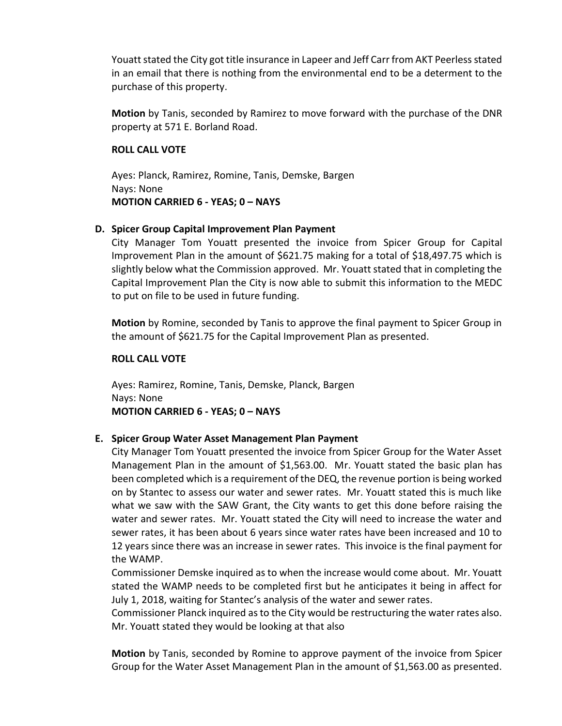Youatt stated the City got title insurance in Lapeer and Jeff Carr from AKT Peerless stated in an email that there is nothing from the environmental end to be a determent to the purchase of this property.

**Motion** by Tanis, seconded by Ramirez to move forward with the purchase of the DNR property at 571 E. Borland Road.

#### **ROLL CALL VOTE**

Ayes: Planck, Ramirez, Romine, Tanis, Demske, Bargen Nays: None **MOTION CARRIED 6 - YEAS; 0 – NAYS**

# **D. Spicer Group Capital Improvement Plan Payment**

City Manager Tom Youatt presented the invoice from Spicer Group for Capital Improvement Plan in the amount of \$621.75 making for a total of \$18,497.75 which is slightly below what the Commission approved. Mr. Youatt stated that in completing the Capital Improvement Plan the City is now able to submit this information to the MEDC to put on file to be used in future funding.

**Motion** by Romine, seconded by Tanis to approve the final payment to Spicer Group in the amount of \$621.75 for the Capital Improvement Plan as presented.

#### **ROLL CALL VOTE**

Ayes: Ramirez, Romine, Tanis, Demske, Planck, Bargen Nays: None **MOTION CARRIED 6 - YEAS; 0 – NAYS**

# **E. Spicer Group Water Asset Management Plan Payment**

City Manager Tom Youatt presented the invoice from Spicer Group for the Water Asset Management Plan in the amount of \$1,563.00. Mr. Youatt stated the basic plan has been completed which is a requirement of the DEQ, the revenue portion is being worked on by Stantec to assess our water and sewer rates. Mr. Youatt stated this is much like what we saw with the SAW Grant, the City wants to get this done before raising the water and sewer rates. Mr. Youatt stated the City will need to increase the water and sewer rates, it has been about 6 years since water rates have been increased and 10 to 12 years since there was an increase in sewer rates. This invoice is the final payment for the WAMP.

Commissioner Demske inquired as to when the increase would come about. Mr. Youatt stated the WAMP needs to be completed first but he anticipates it being in affect for July 1, 2018, waiting for Stantec's analysis of the water and sewer rates.

Commissioner Planck inquired as to the City would be restructuring the water rates also. Mr. Youatt stated they would be looking at that also

**Motion** by Tanis, seconded by Romine to approve payment of the invoice from Spicer Group for the Water Asset Management Plan in the amount of \$1,563.00 as presented.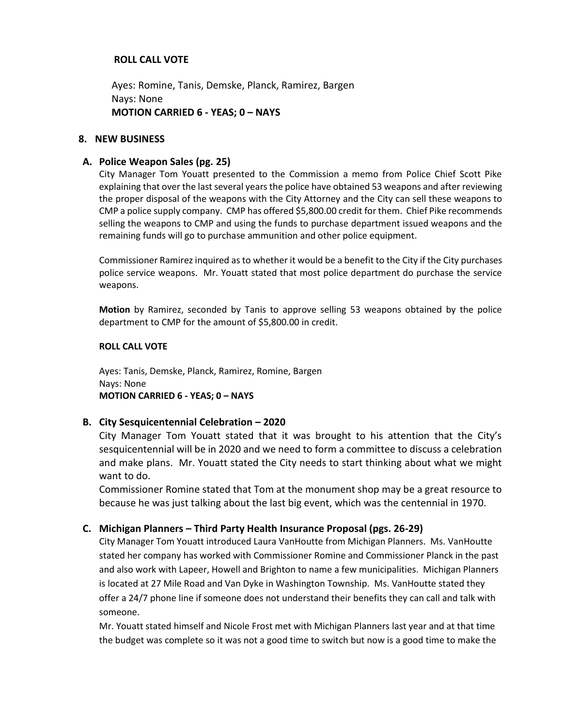# **ROLL CALL VOTE**

Ayes: Romine, Tanis, Demske, Planck, Ramirez, Bargen Nays: None **MOTION CARRIED 6 - YEAS; 0 – NAYS**

#### **8. NEW BUSINESS**

#### **A. Police Weapon Sales (pg. 25)**

City Manager Tom Youatt presented to the Commission a memo from Police Chief Scott Pike explaining that over the last several years the police have obtained 53 weapons and after reviewing the proper disposal of the weapons with the City Attorney and the City can sell these weapons to CMP a police supply company. CMP has offered \$5,800.00 credit for them. Chief Pike recommends selling the weapons to CMP and using the funds to purchase department issued weapons and the remaining funds will go to purchase ammunition and other police equipment.

Commissioner Ramirez inquired as to whether it would be a benefit to the City if the City purchases police service weapons. Mr. Youatt stated that most police department do purchase the service weapons.

**Motion** by Ramirez, seconded by Tanis to approve selling 53 weapons obtained by the police department to CMP for the amount of \$5,800.00 in credit.

#### **ROLL CALL VOTE**

Ayes: Tanis, Demske, Planck, Ramirez, Romine, Bargen Nays: None **MOTION CARRIED 6 - YEAS; 0 – NAYS**

#### **B. City Sesquicentennial Celebration – 2020**

City Manager Tom Youatt stated that it was brought to his attention that the City's sesquicentennial will be in 2020 and we need to form a committee to discuss a celebration and make plans. Mr. Youatt stated the City needs to start thinking about what we might want to do.

Commissioner Romine stated that Tom at the monument shop may be a great resource to because he was just talking about the last big event, which was the centennial in 1970.

#### **C. Michigan Planners – Third Party Health Insurance Proposal (pgs. 26-29)**

City Manager Tom Youatt introduced Laura VanHoutte from Michigan Planners. Ms. VanHoutte stated her company has worked with Commissioner Romine and Commissioner Planck in the past and also work with Lapeer, Howell and Brighton to name a few municipalities. Michigan Planners is located at 27 Mile Road and Van Dyke in Washington Township. Ms. VanHoutte stated they offer a 24/7 phone line if someone does not understand their benefits they can call and talk with someone.

Mr. Youatt stated himself and Nicole Frost met with Michigan Planners last year and at that time the budget was complete so it was not a good time to switch but now is a good time to make the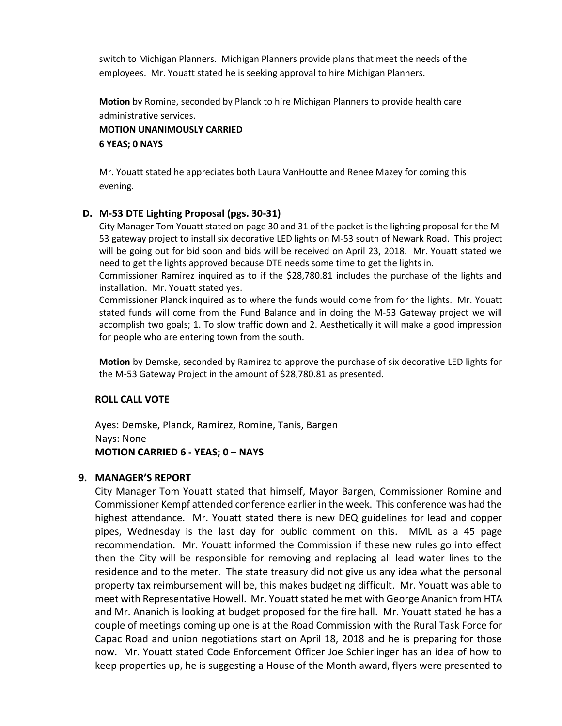switch to Michigan Planners. Michigan Planners provide plans that meet the needs of the employees. Mr. Youatt stated he is seeking approval to hire Michigan Planners.

**Motion** by Romine, seconded by Planck to hire Michigan Planners to provide health care administrative services.

**MOTION UNANIMOUSLY CARRIED 6 YEAS; 0 NAYS**

Mr. Youatt stated he appreciates both Laura VanHoutte and Renee Mazey for coming this evening.

# **D. M-53 DTE Lighting Proposal (pgs. 30-31)**

City Manager Tom Youatt stated on page 30 and 31 of the packet is the lighting proposal for the M-53 gateway project to install six decorative LED lights on M-53 south of Newark Road. This project will be going out for bid soon and bids will be received on April 23, 2018. Mr. Youatt stated we need to get the lights approved because DTE needs some time to get the lights in.

Commissioner Ramirez inquired as to if the \$28,780.81 includes the purchase of the lights and installation. Mr. Youatt stated yes.

Commissioner Planck inquired as to where the funds would come from for the lights. Mr. Youatt stated funds will come from the Fund Balance and in doing the M-53 Gateway project we will accomplish two goals; 1. To slow traffic down and 2. Aesthetically it will make a good impression for people who are entering town from the south.

**Motion** by Demske, seconded by Ramirez to approve the purchase of six decorative LED lights for the M-53 Gateway Project in the amount of \$28,780.81 as presented.

# **ROLL CALL VOTE**

Ayes: Demske, Planck, Ramirez, Romine, Tanis, Bargen Nays: None **MOTION CARRIED 6 - YEAS; 0 – NAYS**

#### **9. MANAGER'S REPORT**

City Manager Tom Youatt stated that himself, Mayor Bargen, Commissioner Romine and Commissioner Kempf attended conference earlier in the week. This conference was had the highest attendance. Mr. Youatt stated there is new DEQ guidelines for lead and copper pipes, Wednesday is the last day for public comment on this. MML as a 45 page recommendation. Mr. Youatt informed the Commission if these new rules go into effect then the City will be responsible for removing and replacing all lead water lines to the residence and to the meter. The state treasury did not give us any idea what the personal property tax reimbursement will be, this makes budgeting difficult. Mr. Youatt was able to meet with Representative Howell. Mr. Youatt stated he met with George Ananich from HTA and Mr. Ananich is looking at budget proposed for the fire hall. Mr. Youatt stated he has a couple of meetings coming up one is at the Road Commission with the Rural Task Force for Capac Road and union negotiations start on April 18, 2018 and he is preparing for those now. Mr. Youatt stated Code Enforcement Officer Joe Schierlinger has an idea of how to keep properties up, he is suggesting a House of the Month award, flyers were presented to